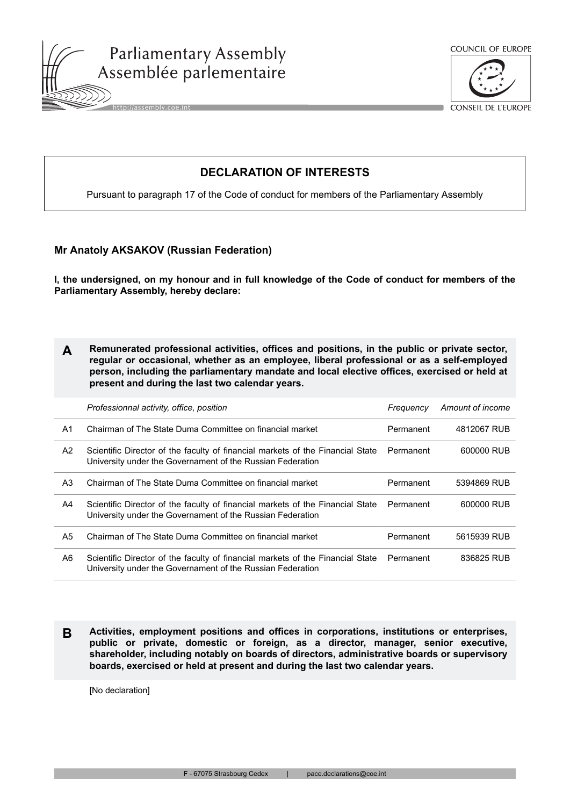



CONSEIL DE L'EUROPE

## **DECLARATION OF INTERESTS**

Pursuant to paragraph 17 of the Code of conduct for members of the Parliamentary Assembly

## **Mr Anatoly AKSAKOV (Russian Federation)**

**I, the undersigned, on my honour and in full knowledge of the Code of conduct for members of the Parliamentary Assembly, hereby declare:**

**A Remunerated professional activities, offices and positions, in the public or private sector, regular or occasional, whether as an employee, liberal professional or as a self-employed person, including the parliamentary mandate and local elective offices, exercised or held at present and during the last two calendar years.**

|    | Professionnal activity, office, position                                                                                                     | Frequency | Amount of income |
|----|----------------------------------------------------------------------------------------------------------------------------------------------|-----------|------------------|
| A1 | Chairman of The State Duma Committee on financial market                                                                                     | Permanent | 4812067 RUB      |
| A2 | Scientific Director of the faculty of financial markets of the Financial State<br>University under the Governament of the Russian Federation | Permanent | 600000 RUB       |
| A3 | Chairman of The State Duma Committee on financial market                                                                                     | Permanent | 5394869 RUB      |
| A4 | Scientific Director of the faculty of financial markets of the Financial State<br>University under the Governament of the Russian Federation | Permanent | 600000 RUB       |
| A5 | Chairman of The State Duma Committee on financial market                                                                                     | Permanent | 5615939 RUB      |
| A6 | Scientific Director of the faculty of financial markets of the Financial State<br>University under the Governament of the Russian Federation | Permanent | 836825 RUB       |

**B Activities, employment positions and offices in corporations, institutions or enterprises, public or private, domestic or foreign, as a director, manager, senior executive, shareholder, including notably on boards of directors, administrative boards or supervisory boards, exercised or held at present and during the last two calendar years.**

[No declaration]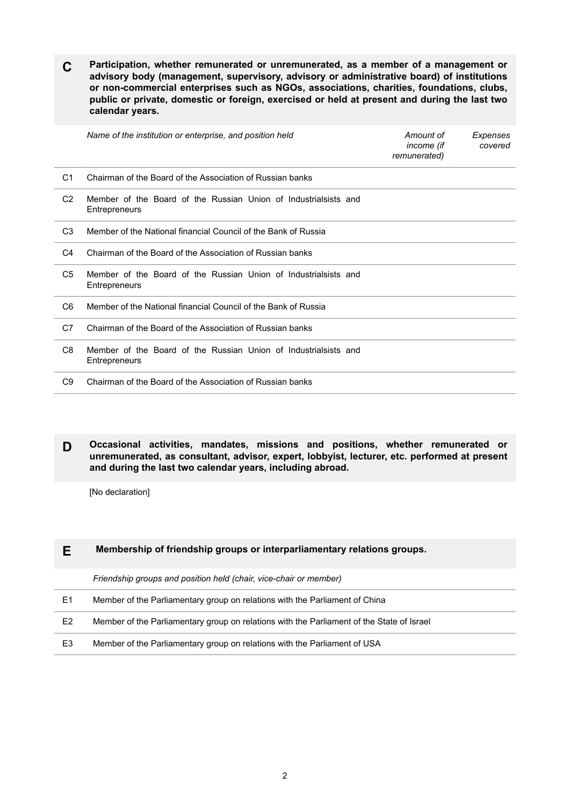**C Participation, whether remunerated or unremunerated, as a member of a management or advisory body (management, supervisory, advisory or administrative board) of institutions or non-commercial enterprises such as NGOs, associations, charities, foundations, clubs, public or private, domestic or foreign, exercised or held at present and during the last two calendar years.**

|                | Name of the institution or enterprise, and position held                         | Amount of<br>income (if<br>remunerated) | Expenses<br>covered |
|----------------|----------------------------------------------------------------------------------|-----------------------------------------|---------------------|
| C <sub>1</sub> | Chairman of the Board of the Association of Russian banks                        |                                         |                     |
| C <sub>2</sub> | Member of the Board of the Russian Union of Industrialsists and<br>Entrepreneurs |                                         |                     |
| C <sub>3</sub> | Member of the National financial Council of the Bank of Russia                   |                                         |                     |
| C4             | Chairman of the Board of the Association of Russian banks                        |                                         |                     |
| C <sub>5</sub> | Member of the Board of the Russian Union of Industrialsists and<br>Entrepreneurs |                                         |                     |
| C <sub>6</sub> | Member of the National financial Council of the Bank of Russia                   |                                         |                     |
| C7             | Chairman of the Board of the Association of Russian banks                        |                                         |                     |
| C <sub>8</sub> | Member of the Board of the Russian Union of Industrialsists and<br>Entrepreneurs |                                         |                     |
| C <sub>9</sub> | Chairman of the Board of the Association of Russian banks                        |                                         |                     |

**D Occasional activities, mandates, missions and positions, whether remunerated or unremunerated, as consultant, advisor, expert, lobbyist, lecturer, etc. performed at present and during the last two calendar years, including abroad.**

[No declaration]

## **E Membership of friendship groups or interparliamentary relations groups.**

*Friendship groups and position held (chair, vice-chair or member)*

| - E1 | Member of the Parliamentary group on relations with the Parliament of China |
|------|-----------------------------------------------------------------------------|
|------|-----------------------------------------------------------------------------|

E2 Member of the Parliamentary group on relations with the Parliament of the State of Israel

E3 Member of the Parliamentary group on relations with the Parliament of USA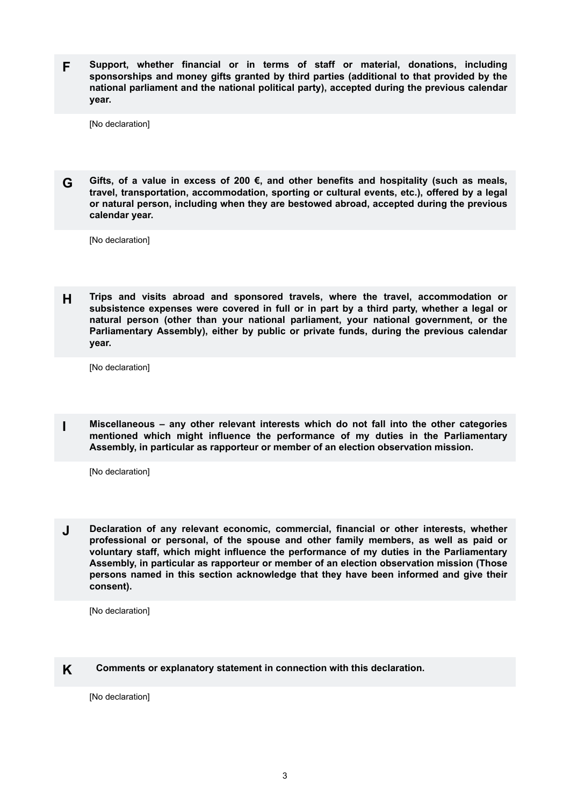**F Support, whether financial or in terms of staff or material, donations, including sponsorships and money gifts granted by third parties (additional to that provided by the national parliament and the national political party), accepted during the previous calendar year.**

[No declaration]

**G Gifts, of a value in excess of 200 €, and other benefits and hospitality (such as meals, travel, transportation, accommodation, sporting or cultural events, etc.), offered by a legal or natural person, including when they are bestowed abroad, accepted during the previous calendar year.**

[No declaration]

**H Trips and visits abroad and sponsored travels, where the travel, accommodation or subsistence expenses were covered in full or in part by a third party, whether a legal or natural person (other than your national parliament, your national government, or the Parliamentary Assembly), either by public or private funds, during the previous calendar year.**

[No declaration]

**I Miscellaneous – any other relevant interests which do not fall into the other categories mentioned which might influence the performance of my duties in the Parliamentary Assembly, in particular as rapporteur or member of an election observation mission.**

[No declaration]

**J Declaration of any relevant economic, commercial, financial or other interests, whether professional or personal, of the spouse and other family members, as well as paid or voluntary staff, which might influence the performance of my duties in the Parliamentary Assembly, in particular as rapporteur or member of an election observation mission (Those persons named in this section acknowledge that they have been informed and give their consent).**

[No declaration]

## **K Comments or explanatory statement in connection with this declaration.**

[No declaration]